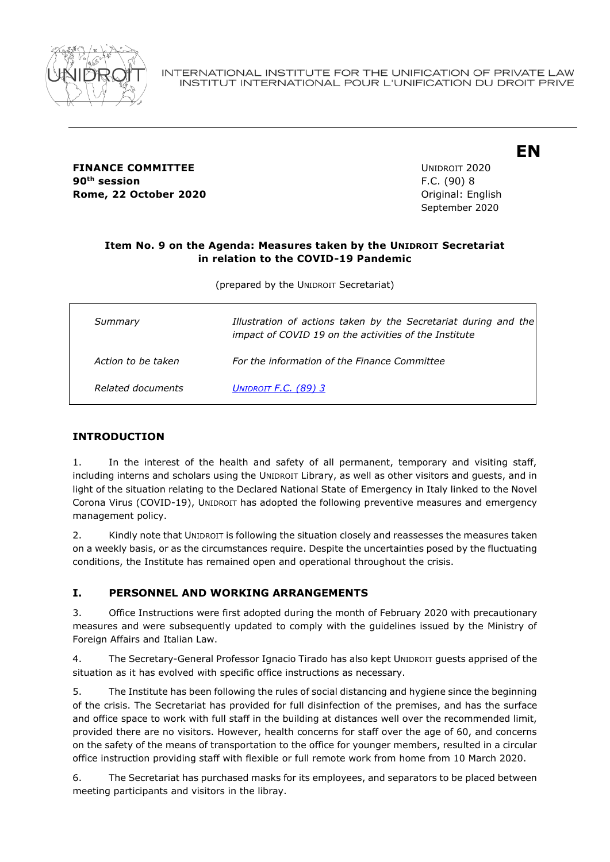

**FINANCE COMMITTEE EXAMPLE 2020** UNIDROIT 2020 90<sup>th</sup> session **Rome, 22 October 2020 Constanting Constanting Constanting Constanting Constanting Constanting Constanting Constanting Constanting Constanting Constanting Constanting Constanting Constanting Constanting Constanting Const** 

**th session** F.C. (90) 8 September 2020 **EN**

### **Item No. 9 on the Agenda: Measures taken by the UNIDROIT Secretariat in relation to the COVID-19 Pandemic**

(prepared by the UNIDROIT Secretariat)

| Summary            | Illustration of actions taken by the Secretariat during and the<br>impact of COVID 19 on the activities of the Institute |
|--------------------|--------------------------------------------------------------------------------------------------------------------------|
| Action to be taken | For the information of the Finance Committee                                                                             |
| Related documents  | UNIDROIT F.C. $(89)$ 3                                                                                                   |

## **INTRODUCTION**

1. In the interest of the health and safety of all permanent, temporary and visiting staff, including interns and scholars using the UNIDROIT Library, as well as other visitors and guests, and in light of the situation relating to the Declared National State of Emergency in Italy linked to the Novel Corona Virus (COVID-19), UNIDROIT has adopted the following preventive measures and emergency management policy.

2. Kindly note that UNIDROIT is following the situation closely and reassesses the measures taken on a weekly basis, or as the circumstances require. Despite the uncertainties posed by the fluctuating conditions, the Institute has remained open and operational throughout the crisis.

### **I. PERSONNEL AND WORKING ARRANGEMENTS**

3. Office Instructions were first adopted during the month of February 2020 with precautionary measures and were subsequently updated to comply with the guidelines issued by the Ministry of Foreign Affairs and Italian Law.

4. The Secretary-General Professor Ignacio Tirado has also kept UNIDROIT guests apprised of the situation as it has evolved with specific office instructions as necessary.

5. The Institute has been following the rules of social distancing and hygiene since the beginning of the crisis. The Secretariat has provided for full disinfection of the premises, and has the surface and office space to work with full staff in the building at distances well over the recommended limit, provided there are no visitors. However, health concerns for staff over the age of 60, and concerns on the safety of the means of transportation to the office for younger members, resulted in a circular office instruction providing staff with flexible or full remote work from home from 10 March 2020.

6. The Secretariat has purchased masks for its employees, and separators to be placed between meeting participants and visitors in the libray.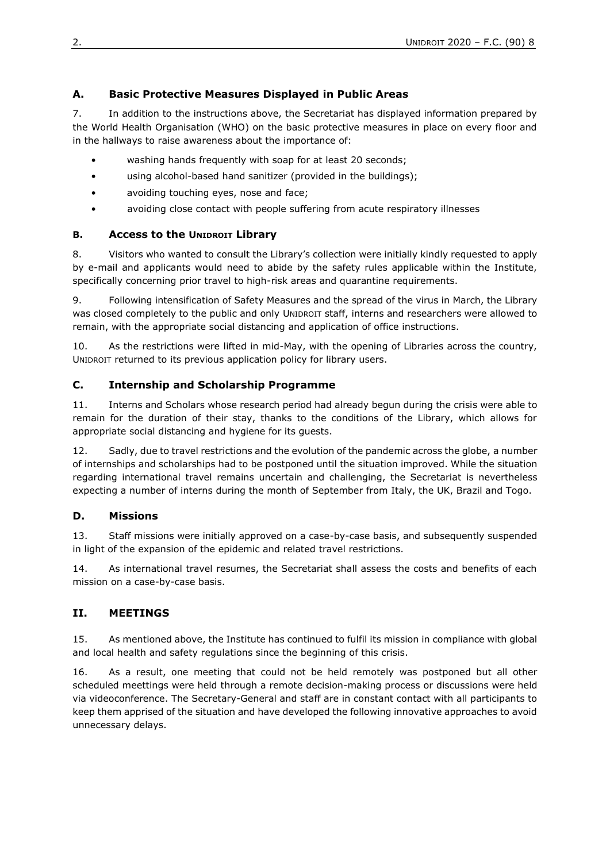# **A. Basic Protective Measures Displayed in Public Areas**

7. In addition to the instructions above, the Secretariat has displayed information prepared by the World Health Organisation (WHO) on the basic protective measures in place on every floor and in the hallways to raise awareness about the importance of:

- washing hands frequently with soap for at least 20 seconds;
- using alcohol-based hand sanitizer (provided in the buildings);
- avoiding touching eyes, nose and face;
- avoiding close contact with people suffering from acute respiratory illnesses

### **B. Access to the UNIDROIT Library**

8. Visitors who wanted to consult the Library's collection were initially kindly requested to apply by e-mail and applicants would need to abide by the safety rules applicable within the Institute, specifically concerning prior travel to high-risk areas and quarantine requirements.

9. Following intensification of Safety Measures and the spread of the virus in March, the Library was closed completely to the public and only UNIDROIT staff, interns and researchers were allowed to remain, with the appropriate social distancing and application of office instructions.

10. As the restrictions were lifted in mid-May, with the opening of Libraries across the country, UNIDROIT returned to its previous application policy for library users.

## **C. Internship and Scholarship Programme**

11. Interns and Scholars whose research period had already begun during the crisis were able to remain for the duration of their stay, thanks to the conditions of the Library, which allows for appropriate social distancing and hygiene for its guests.

12. Sadly, due to travel restrictions and the evolution of the pandemic across the globe, a number of internships and scholarships had to be postponed until the situation improved. While the situation regarding international travel remains uncertain and challenging, the Secretariat is nevertheless expecting a number of interns during the month of September from Italy, the UK, Brazil and Togo.

### **D. Missions**

13. Staff missions were initially approved on a case-by-case basis, and subsequently suspended in light of the expansion of the epidemic and related travel restrictions.

14. As international travel resumes, the Secretariat shall assess the costs and benefits of each mission on a case-by-case basis.

# **II. MEETINGS**

15. As mentioned above, the Institute has continued to fulfil its mission in compliance with global and local health and safety regulations since the beginning of this crisis.

16. As a result, one meeting that could not be held remotely was postponed but all other scheduled meettings were held through a remote decision-making process or discussions were held via videoconference. The Secretary-General and staff are in constant contact with all participants to keep them apprised of the situation and have developed the following innovative approaches to avoid unnecessary delays.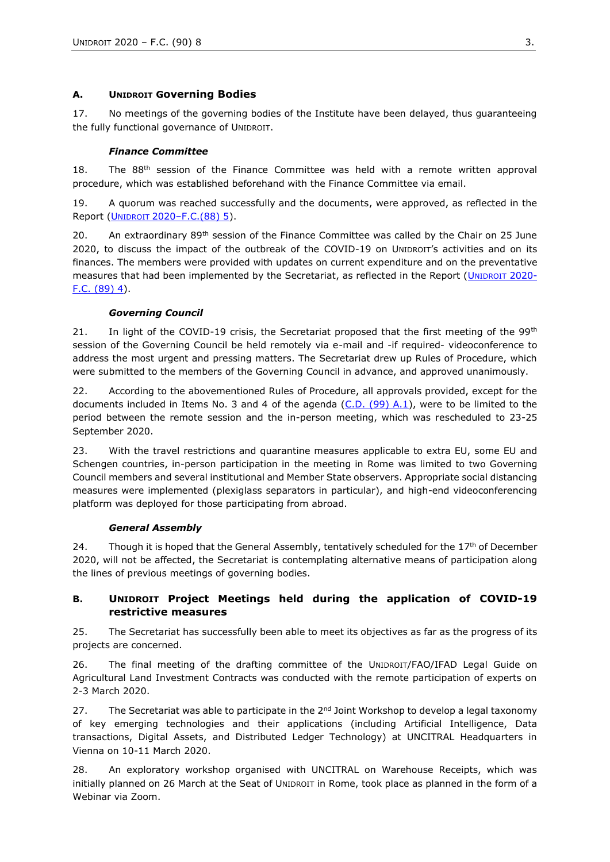#### **A. UNIDROIT Governing Bodies**

17. No meetings of the governing bodies of the Institute have been delayed, thus guaranteeing the fully functional governance of UNIDROIT.

#### *Finance Committee*

18. The 88<sup>th</sup> session of the Finance Committee was held with a remote written approval procedure, which was established beforehand with the Finance Committee via email.

19. A quorum was reached successfully and the documents, were approved, as reflected in the Report (UNIDROIT 2020–[F.C.\(88\) 5\)](https://www.unidroit.org/english/governments/financecommitteedocuments/2020-88session/fc-88-05-e.pdf).

20. An extraordinary  $89<sup>th</sup>$  session of the Finance Committee was called by the Chair on 25 June 2020, to discuss the impact of the outbreak of the COVID-19 on UNIDROIT's activities and on its finances. The members were provided with updates on current expenditure and on the preventative measures that had been implemented by the Secretariat, as reflected in the Report (UNIDROIT [2020-](https://www.unidroit.org/english/governments/financecommitteedocuments/2020-89session/fc-89-04-e.pdf) [F.C. \(89\) 4\)](https://www.unidroit.org/english/governments/financecommitteedocuments/2020-89session/fc-89-04-e.pdf).

#### *Governing Council*

21. In light of the COVID-19 crisis, the Secretariat proposed that the first meeting of the 99<sup>th</sup> session of the Governing Council be held remotely via e-mail and -if required- videoconference to address the most urgent and pressing matters. The Secretariat drew up Rules of Procedure, which were submitted to the members of the Governing Council in advance, and approved unanimously.

22. According to the abovementioned Rules of Procedure, all approvals provided, except for the documents included in Items No. 3 and 4 of the agenda [\(C.D. \(99\) A.1\)](https://www.unidroit.org/english/governments/councildocuments/2020session/cd-99-a-01-e.pdf), were to be limited to the period between the remote session and the in-person meeting, which was rescheduled to 23-25 September 2020.

23. With the travel restrictions and quarantine measures applicable to extra EU, some EU and Schengen countries, in-person participation in the meeting in Rome was limited to two Governing Council members and several institutional and Member State observers. Appropriate social distancing measures were implemented (plexiglass separators in particular), and high-end videoconferencing platform was deployed for those participating from abroad.

#### *General Assembly*

24. Though it is hoped that the General Assembly, tentatively scheduled for the  $17<sup>th</sup>$  of December 2020, will not be affected, the Secretariat is contemplating alternative means of participation along the lines of previous meetings of governing bodies.

### **B. UNIDROIT Project Meetings held during the application of COVID-19 restrictive measures**

25. The Secretariat has successfully been able to meet its objectives as far as the progress of its projects are concerned.

26. The final meeting of the drafting committee of the UNIDROIT/FAO/IFAD Legal Guide on Agricultural Land Investment Contracts was conducted with the remote participation of experts on 2-3 March 2020.

27. The Secretariat was able to participate in the 2<sup>nd</sup> Joint Workshop to develop a legal taxonomy of key emerging technologies and their applications (including Artificial Intelligence, Data transactions, Digital Assets, and Distributed Ledger Technology) at UNCITRAL Headquarters in Vienna on 10-11 March 2020.

28. An exploratory workshop organised with UNCITRAL on Warehouse Receipts, which was initially planned on 26 March at the Seat of UNIDROIT in Rome, took place as planned in the form of a Webinar via Zoom.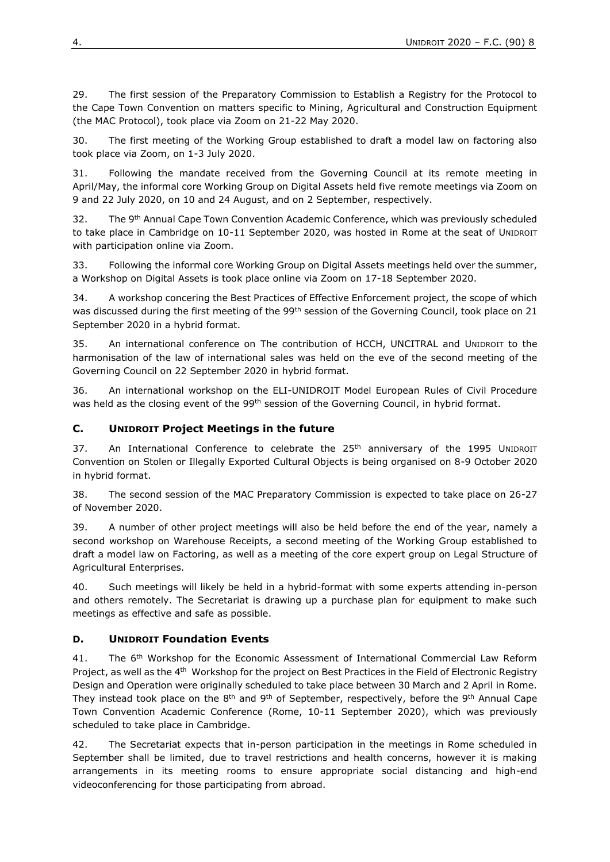29. The first session of the Preparatory Commission to Establish a Registry for the Protocol to the Cape Town Convention on matters specific to Mining, Agricultural and Construction Equipment (the MAC Protocol), took place via Zoom on 21-22 May 2020.

30. The first meeting of the Working Group established to draft a model law on factoring also took place via Zoom, on 1-3 July 2020.

31. Following the mandate received from the Governing Council at its remote meeting in April/May, the informal core Working Group on Digital Assets held five remote meetings via Zoom on 9 and 22 July 2020, on 10 and 24 August, and on 2 September, respectively.

32. The 9<sup>th</sup> Annual Cape Town Convention Academic Conference, which was previously scheduled to take place in Cambridge on 10-11 September 2020, was hosted in Rome at the seat of UNIDROIT with participation online via Zoom.

33. Following the informal core Working Group on Digital Assets meetings held over the summer, a Workshop on Digital Assets is took place online via Zoom on 17-18 September 2020.

34. A workshop concering the Best Practices of Effective Enforcement project, the scope of which was discussed during the first meeting of the 99<sup>th</sup> session of the Governing Council, took place on 21 September 2020 in a hybrid format.

35. An international conference on The contribution of HCCH, UNCITRAL and UNIDROIT to the harmonisation of the law of international sales was held on the eve of the second meeting of the Governing Council on 22 September 2020 in hybrid format.

36. An international workshop on the ELI-UNIDROIT Model European Rules of Civil Procedure was held as the closing event of the 99<sup>th</sup> session of the Governing Council, in hybrid format.

### **C. UNIDROIT Project Meetings in the future**

37. An International Conference to celebrate the 25<sup>th</sup> anniversary of the 1995 UNIDROIT Convention on Stolen or Illegally Exported Cultural Objects is being organised on 8-9 October 2020 in hybrid format.

38. The second session of the MAC Preparatory Commission is expected to take place on 26-27 of November 2020.

39. A number of other project meetings will also be held before the end of the year, namely a second workshop on Warehouse Receipts, a second meeting of the Working Group established to draft a model law on Factoring, as well as a meeting of the core expert group on Legal Structure of Agricultural Enterprises.

40. Such meetings will likely be held in a hybrid-format with some experts attending in-person and others remotely. The Secretariat is drawing up a purchase plan for equipment to make such meetings as effective and safe as possible.

### **D. UNIDROIT Foundation Events**

41. The 6<sup>th</sup> Workshop for the Economic Assessment of International Commercial Law Reform Project, as well as the 4<sup>th</sup> Workshop for the project on Best Practices in the Field of Electronic Registry Design and Operation were originally scheduled to take place between 30 March and 2 April in Rome. They instead took place on the  $8<sup>th</sup>$  and  $9<sup>th</sup>$  of September, respectively, before the  $9<sup>th</sup>$  Annual Cape Town Convention Academic Conference (Rome, 10-11 September 2020), which was previously scheduled to take place in Cambridge.

42. The Secretariat expects that in-person participation in the meetings in Rome scheduled in September shall be limited, due to travel restrictions and health concerns, however it is making arrangements in its meeting rooms to ensure appropriate social distancing and high-end videoconferencing for those participating from abroad.